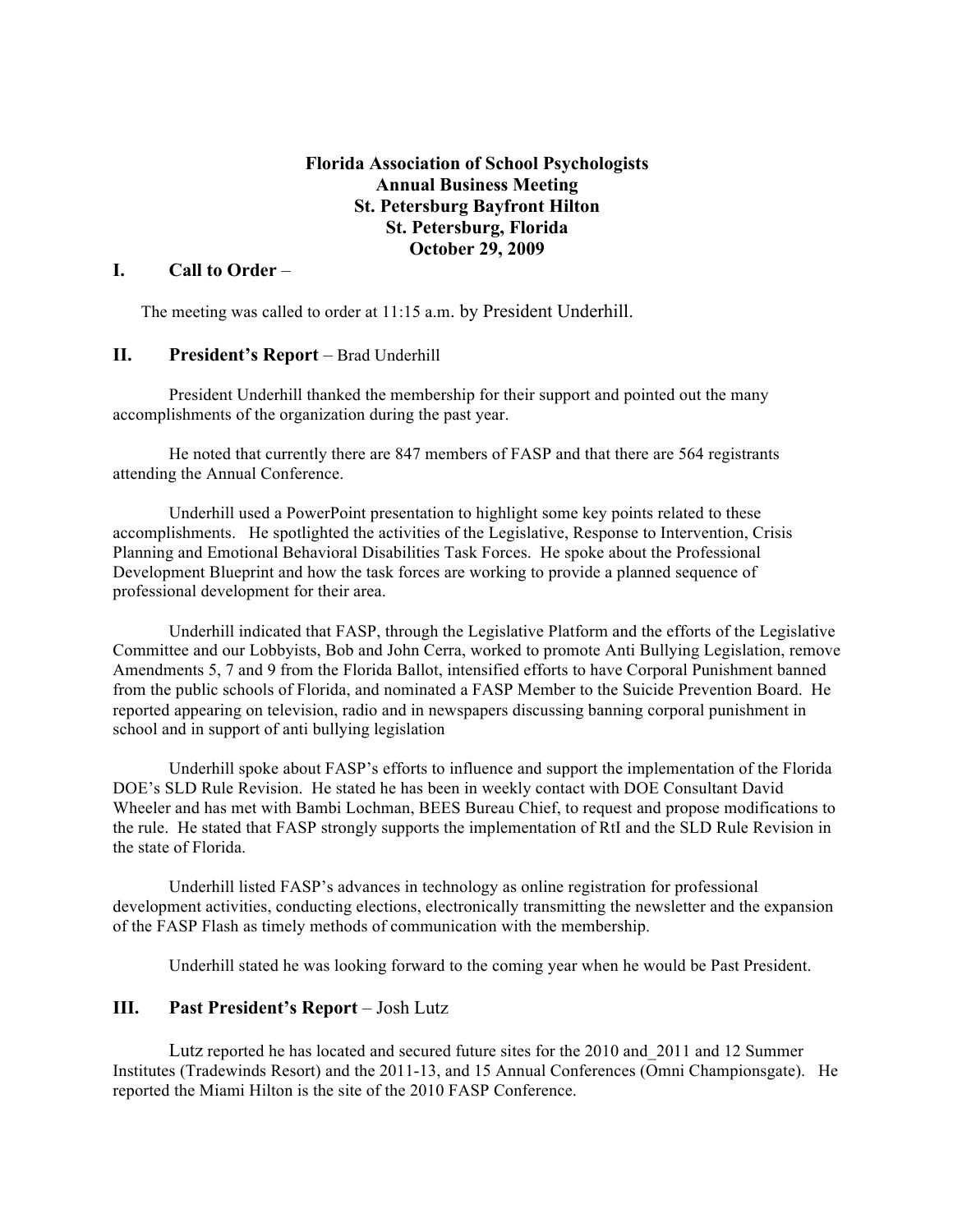## **Florida Association of School Psychologists Annual Business Meeting St. Petersburg Bayfront Hilton St. Petersburg, Florida October 29, 2009**

## **I. Call to Order** –

The meeting was called to order at 11:15 a.m. by President Underhill.

## **II. President's Report** – Brad Underhill

President Underhill thanked the membership for their support and pointed out the many accomplishments of the organization during the past year.

He noted that currently there are 847 members of FASP and that there are 564 registrants attending the Annual Conference.

Underhill used a PowerPoint presentation to highlight some key points related to these accomplishments. He spotlighted the activities of the Legislative, Response to Intervention, Crisis Planning and Emotional Behavioral Disabilities Task Forces. He spoke about the Professional Development Blueprint and how the task forces are working to provide a planned sequence of professional development for their area.

Underhill indicated that FASP, through the Legislative Platform and the efforts of the Legislative Committee and our Lobbyists, Bob and John Cerra, worked to promote Anti Bullying Legislation, remove Amendments 5, 7 and 9 from the Florida Ballot, intensified efforts to have Corporal Punishment banned from the public schools of Florida, and nominated a FASP Member to the Suicide Prevention Board. He reported appearing on television, radio and in newspapers discussing banning corporal punishment in school and in support of anti bullying legislation

Underhill spoke about FASP's efforts to influence and support the implementation of the Florida DOE's SLD Rule Revision. He stated he has been in weekly contact with DOE Consultant David Wheeler and has met with Bambi Lochman, BEES Bureau Chief, to request and propose modifications to the rule. He stated that FASP strongly supports the implementation of RtI and the SLD Rule Revision in the state of Florida.

Underhill listed FASP's advances in technology as online registration for professional development activities, conducting elections, electronically transmitting the newsletter and the expansion of the FASP Flash as timely methods of communication with the membership.

Underhill stated he was looking forward to the coming year when he would be Past President.

#### **III. Past President's Report** – Josh Lutz

Lutz reported he has located and secured future sites for the 2010 and\_2011 and 12 Summer Institutes (Tradewinds Resort) and the 2011-13, and 15 Annual Conferences (Omni Championsgate). He reported the Miami Hilton is the site of the 2010 FASP Conference.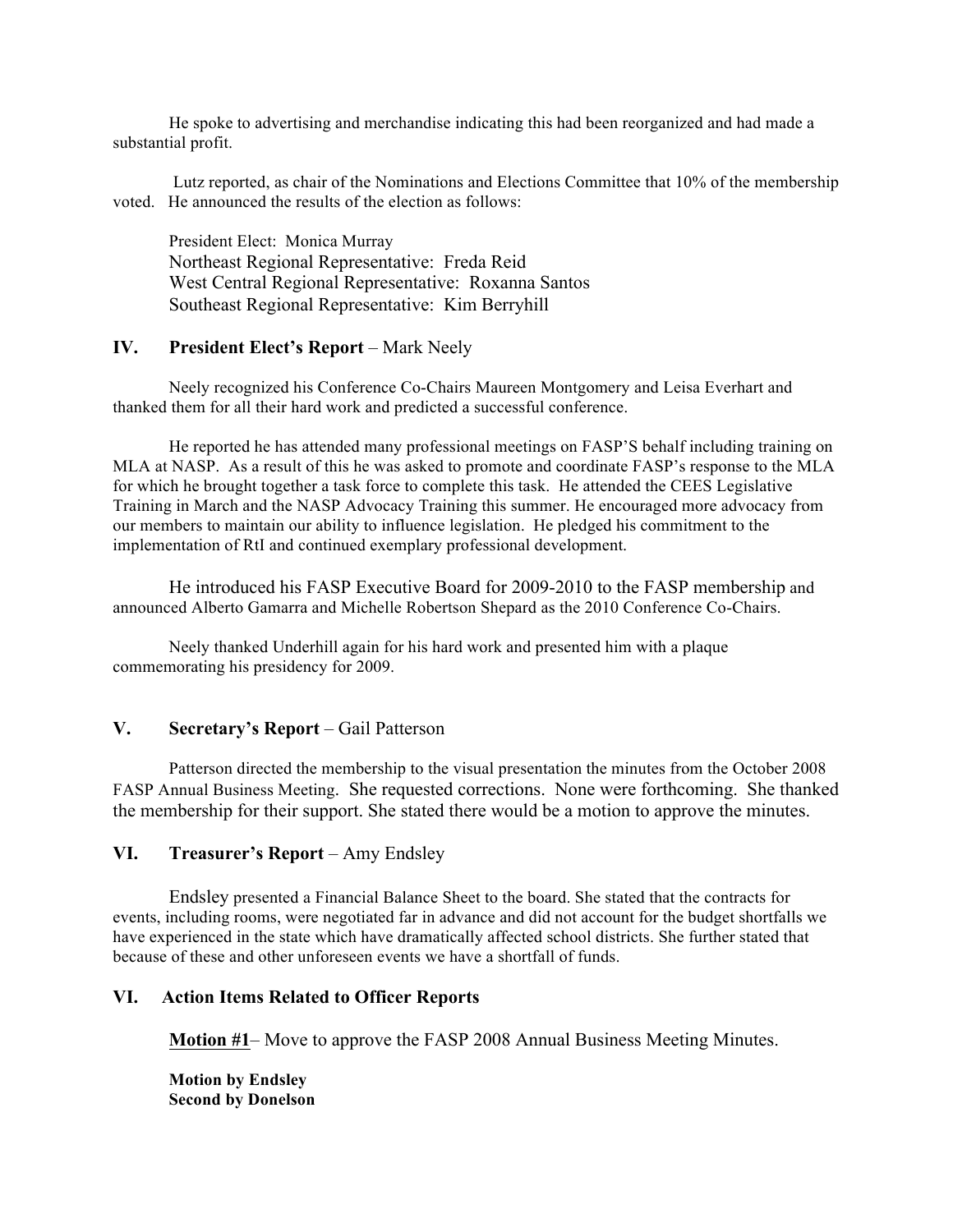He spoke to advertising and merchandise indicating this had been reorganized and had made a substantial profit.

Lutz reported, as chair of the Nominations and Elections Committee that 10% of the membership voted. He announced the results of the election as follows:

President Elect: Monica Murray Northeast Regional Representative: Freda Reid West Central Regional Representative: Roxanna Santos Southeast Regional Representative: Kim Berryhill

#### **IV. President Elect's Report** – Mark Neely

Neely recognized his Conference Co-Chairs Maureen Montgomery and Leisa Everhart and thanked them for all their hard work and predicted a successful conference.

He reported he has attended many professional meetings on FASP'S behalf including training on MLA at NASP. As a result of this he was asked to promote and coordinate FASP's response to the MLA for which he brought together a task force to complete this task. He attended the CEES Legislative Training in March and the NASP Advocacy Training this summer. He encouraged more advocacy from our members to maintain our ability to influence legislation. He pledged his commitment to the implementation of RtI and continued exemplary professional development.

He introduced his FASP Executive Board for 2009-2010 to the FASP membership and announced Alberto Gamarra and Michelle Robertson Shepard as the 2010 Conference Co-Chairs.

Neely thanked Underhill again for his hard work and presented him with a plaque commemorating his presidency for 2009.

## **V. Secretary's Report** – Gail Patterson

Patterson directed the membership to the visual presentation the minutes from the October 2008 FASP Annual Business Meeting. She requested corrections. None were forthcoming. She thanked the membership for their support. She stated there would be a motion to approve the minutes.

#### **VI. Treasurer's Report** – Amy Endsley

Endsley presented a Financial Balance Sheet to the board. She stated that the contracts for events, including rooms, were negotiated far in advance and did not account for the budget shortfalls we have experienced in the state which have dramatically affected school districts. She further stated that because of these and other unforeseen events we have a shortfall of funds.

#### **VI. Action Items Related to Officer Reports**

**Motion #1**– Move to approve the FASP 2008 Annual Business Meeting Minutes.

**Motion by Endsley Second by Donelson**